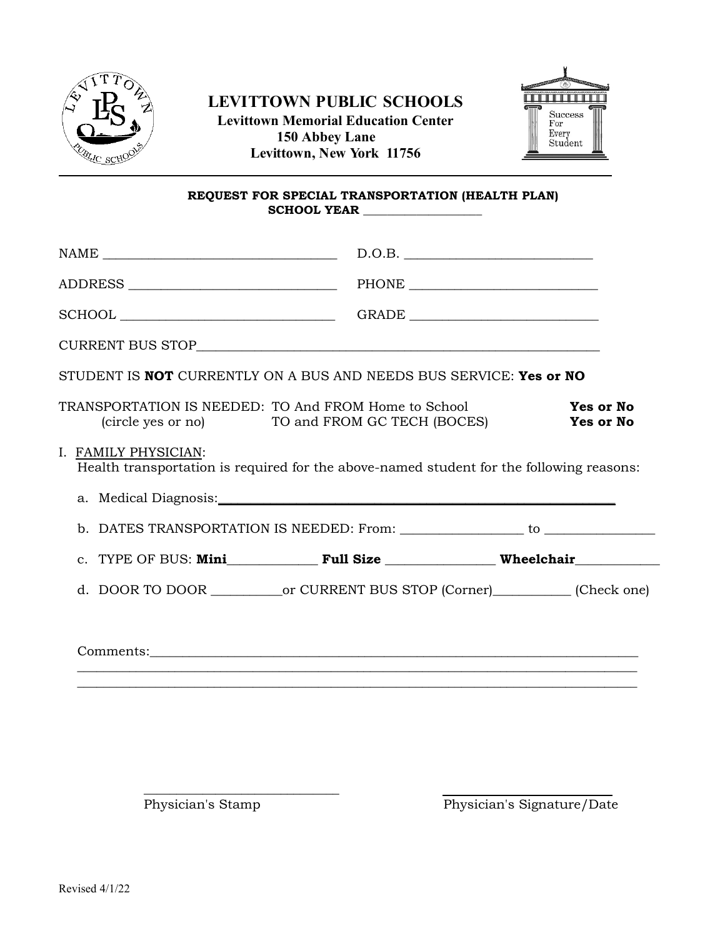

# **LEVITTOWN PUBLIC SCHOOLS Levittown Memorial Education Center 150 Abbey Lane Levittown, New York 11756**



#### **REQUEST FOR SPECIAL TRANSPORTATION (HEALTH PLAN)** SCHOOL YEAR

|                                                                                                        | D.O.B.                                                                                   |
|--------------------------------------------------------------------------------------------------------|------------------------------------------------------------------------------------------|
|                                                                                                        |                                                                                          |
|                                                                                                        |                                                                                          |
|                                                                                                        |                                                                                          |
| STUDENT IS <b>NOT</b> CURRENTLY ON A BUS AND NEEDS BUS SERVICE: Yes or NO                              |                                                                                          |
| TRANSPORTATION IS NEEDED: TO And FROM Home to School<br>(circle yes or no) TO and FROM GC TECH (BOCES) | <b>Yes or No</b><br><b>Yes or No</b>                                                     |
| I. FAMILY PHYSICIAN:                                                                                   | Health transportation is required for the above-named student for the following reasons: |
| a. Medical Diagnosis:                                                                                  |                                                                                          |
|                                                                                                        |                                                                                          |
|                                                                                                        | c. TYPE OF BUS: Mini Full Size Wheelchair                                                |
|                                                                                                        |                                                                                          |
|                                                                                                        |                                                                                          |
|                                                                                                        |                                                                                          |
|                                                                                                        |                                                                                          |

\_\_\_\_\_\_\_\_\_\_\_\_\_\_\_\_\_\_\_\_\_\_\_\_\_\_\_\_\_\_

Physician's Stamp Physician's Signature/Date